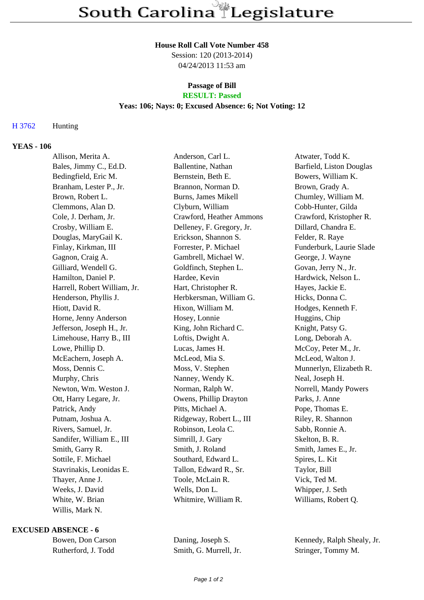#### **House Roll Call Vote Number 458**

Session: 120 (2013-2014) 04/24/2013 11:53 am

# **Passage of Bill**

# **RESULT: Passed**

## **Yeas: 106; Nays: 0; Excused Absence: 6; Not Voting: 12**

## H 3762 Hunting

## **YEAS - 106**

| Allison, Merita A.           | Anderson, Carl L.          | Atwater, Todd K.         |
|------------------------------|----------------------------|--------------------------|
| Bales, Jimmy C., Ed.D.       | Ballentine, Nathan         | Barfield, Liston Douglas |
| Bedingfield, Eric M.         | Bernstein, Beth E.         | Bowers, William K.       |
| Branham, Lester P., Jr.      | Brannon, Norman D.         | Brown, Grady A.          |
| Brown, Robert L.             | <b>Burns, James Mikell</b> | Chumley, William M.      |
| Clemmons, Alan D.            | Clyburn, William           | Cobb-Hunter, Gilda       |
| Cole, J. Derham, Jr.         | Crawford, Heather Ammons   | Crawford, Kristopher R.  |
| Crosby, William E.           | Delleney, F. Gregory, Jr.  | Dillard, Chandra E.      |
| Douglas, MaryGail K.         | Erickson, Shannon S.       | Felder, R. Raye          |
| Finlay, Kirkman, III         | Forrester, P. Michael      | Funderburk, Laurie Slade |
| Gagnon, Craig A.             | Gambrell, Michael W.       | George, J. Wayne         |
| Gilliard, Wendell G.         | Goldfinch, Stephen L.      | Govan, Jerry N., Jr.     |
| Hamilton, Daniel P.          | Hardee, Kevin              | Hardwick, Nelson L.      |
| Harrell, Robert William, Jr. | Hart, Christopher R.       | Hayes, Jackie E.         |
| Henderson, Phyllis J.        | Herbkersman, William G.    | Hicks, Donna C.          |
| Hiott, David R.              | Hixon, William M.          | Hodges, Kenneth F.       |
| Horne, Jenny Anderson        | Hosey, Lonnie              | Huggins, Chip            |
| Jefferson, Joseph H., Jr.    | King, John Richard C.      | Knight, Patsy G.         |
| Limehouse, Harry B., III     | Loftis, Dwight A.          | Long, Deborah A.         |
| Lowe, Phillip D.             | Lucas, James H.            | McCoy, Peter M., Jr.     |
| McEachern, Joseph A.         | McLeod, Mia S.             | McLeod, Walton J.        |
| Moss, Dennis C.              | Moss, V. Stephen           | Munnerlyn, Elizabeth R.  |
| Murphy, Chris                | Nanney, Wendy K.           | Neal, Joseph H.          |
| Newton, Wm. Weston J.        | Norman, Ralph W.           | Norrell, Mandy Powers    |
| Ott, Harry Legare, Jr.       | Owens, Phillip Drayton     | Parks, J. Anne           |
| Patrick, Andy                | Pitts, Michael A.          | Pope, Thomas E.          |
| Putnam, Joshua A.            | Ridgeway, Robert L., III   | Riley, R. Shannon        |
| Rivers, Samuel, Jr.          | Robinson, Leola C.         | Sabb, Ronnie A.          |
| Sandifer, William E., III    | Simrill, J. Gary           | Skelton, B. R.           |
| Smith, Garry R.              | Smith, J. Roland           | Smith, James E., Jr.     |
| Sottile, F. Michael          | Southard, Edward L.        | Spires, L. Kit           |
| Stavrinakis, Leonidas E.     | Tallon, Edward R., Sr.     | Taylor, Bill             |
| Thayer, Anne J.              | Toole, McLain R.           | Vick, Ted M.             |
| Weeks, J. David              | Wells, Don L.              | Whipper, J. Seth         |
| White, W. Brian              | Whitmire, William R.       | Williams, Robert Q.      |
| Willis, Mark N.              |                            |                          |

#### **EXCUSED ABSENCE - 6**

| Bowen, Don Carson   |  |  |
|---------------------|--|--|
| Rutherford, J. Todd |  |  |

Smith, G. Murrell, Jr. Stringer, Tommy M.

Daning, Joseph S. Kennedy, Ralph Shealy, Jr.